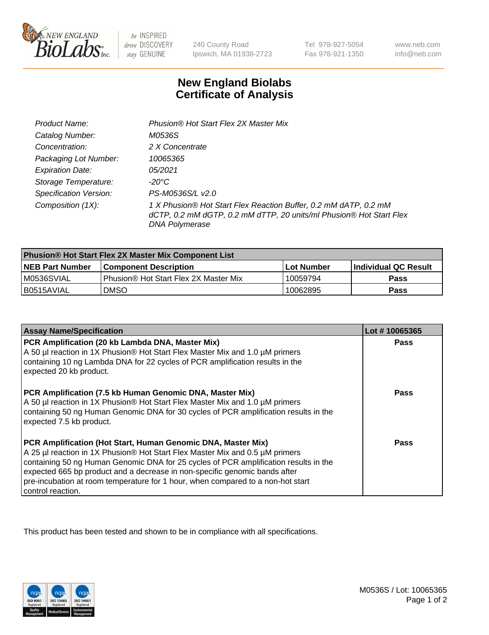

be INSPIRED drive DISCOVERY stay GENUINE

240 County Road Ipswich, MA 01938-2723

Tel 978-927-5054 Fax 978-921-1350

www.neb.com info@neb.com

## **New England Biolabs Certificate of Analysis**

| Product Name:                 | Phusion® Hot Start Flex 2X Master Mix                                                                                                                     |
|-------------------------------|-----------------------------------------------------------------------------------------------------------------------------------------------------------|
| Catalog Number:               | M0536S                                                                                                                                                    |
| Concentration:                | 2 X Concentrate                                                                                                                                           |
| Packaging Lot Number:         | 10065365                                                                                                                                                  |
| <b>Expiration Date:</b>       | 05/2021                                                                                                                                                   |
| Storage Temperature:          | -20°C                                                                                                                                                     |
| <b>Specification Version:</b> | PS-M0536S/L v2.0                                                                                                                                          |
| Composition (1X):             | 1 X Phusion® Hot Start Flex Reaction Buffer, 0.2 mM dATP, 0.2 mM<br>dCTP, 0.2 mM dGTP, 0.2 mM dTTP, 20 units/ml Phusion® Hot Start Flex<br>DNA Polymerase |

| <b>Phusion® Hot Start Flex 2X Master Mix Component List</b> |                                       |            |                             |  |
|-------------------------------------------------------------|---------------------------------------|------------|-----------------------------|--|
| <b>NEB Part Number</b>                                      | l Component Description               | Lot Number | <b>Individual QC Result</b> |  |
| M0536SVIAL                                                  | Phusion® Hot Start Flex 2X Master Mix | 10059794   | Pass                        |  |
| I B0515AVIAL                                                | <b>DMSO</b>                           | 10062895   | <b>Pass</b>                 |  |

| <b>Assay Name/Specification</b>                                                                                                                                                                                                                                                                                                                                                                                            | Lot #10065365 |
|----------------------------------------------------------------------------------------------------------------------------------------------------------------------------------------------------------------------------------------------------------------------------------------------------------------------------------------------------------------------------------------------------------------------------|---------------|
| PCR Amplification (20 kb Lambda DNA, Master Mix)<br>A 50 µl reaction in 1X Phusion® Hot Start Flex Master Mix and 1.0 µM primers<br>containing 10 ng Lambda DNA for 22 cycles of PCR amplification results in the<br>expected 20 kb product.                                                                                                                                                                               | <b>Pass</b>   |
| PCR Amplification (7.5 kb Human Genomic DNA, Master Mix)<br>A 50 µl reaction in 1X Phusion® Hot Start Flex Master Mix and 1.0 µM primers<br>containing 50 ng Human Genomic DNA for 30 cycles of PCR amplification results in the<br>expected 7.5 kb product.                                                                                                                                                               | Pass          |
| PCR Amplification (Hot Start, Human Genomic DNA, Master Mix)<br>A 25 µl reaction in 1X Phusion® Hot Start Flex Master Mix and 0.5 µM primers<br>containing 50 ng Human Genomic DNA for 25 cycles of PCR amplification results in the<br>expected 665 bp product and a decrease in non-specific genomic bands after<br>pre-incubation at room temperature for 1 hour, when compared to a non-hot start<br>control reaction. | Pass          |

This product has been tested and shown to be in compliance with all specifications.